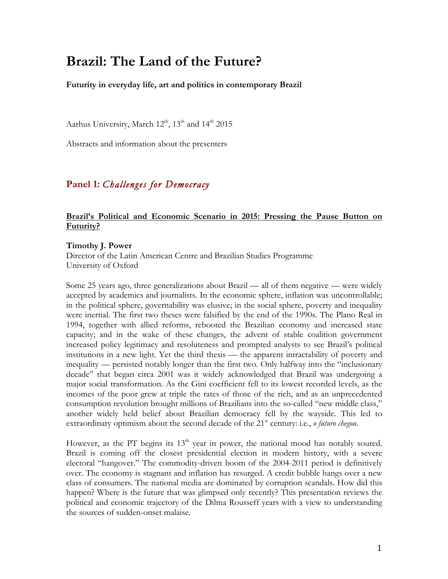# **Brazil: The Land of the Future?**

**Futurity in everyday life, art and politics in contemporary Brazil**

Aarhus University, March 12<sup>th</sup>, 13<sup>th</sup> and 14<sup>th</sup> 2015

Abstracts and information about the presenters

# **Panel 1:** *Challenges for Democracy*

# **Brazil's Political and Economic Scenario in 2015: Pressing the Pause Button on Futurity?**

#### **Timothy J. Power**

Director of the Latin American Centre and Brazilian Studies Programme University of Oxford

Some 25 years ago, three generalizations about Brazil — all of them negative — were widely accepted by academics and journalists. In the economic sphere, inflation was uncontrollable; in the political sphere, governability was elusive; in the social sphere, poverty and inequality were inertial. The first two theses were falsified by the end of the 1990s. The Plano Real in 1994, together with allied reforms, rebooted the Brazilian economy and increased state capacity; and in the wake of these changes, the advent of stable coalition government increased policy legitimacy and resoluteness and prompted analysts to see Brazil's political institutions in a new light. Yet the third thesis — the apparent intractability of poverty and inequality — persisted notably longer than the first two. Only halfway into the "inclusionary decade" that began circa 2001 was it widely acknowledged that Brazil was undergoing a major social transformation. As the Gini coefficient fell to its lowest recorded levels, as the incomes of the poor grew at triple the rates of those of the rich, and as an unprecedented consumption revolution brought millions of Brazilians into the so-called "new middle class," another widely held belief about Brazilian democracy fell by the wayside. This led to extraordinary optimism about the second decade of the 21<sup>st</sup> century: i.e., *o futuro chegou*.

However, as the PT begins its  $13<sup>th</sup>$  year in power, the national mood has notably soured. Brazil is coming off the closest presidential election in modern history, with a severe electoral "hangover." The commodity-driven boom of the 2004-2011 period is definitively over. The economy is stagnant and inflation has resurged. A credit bubble hangs over a new class of consumers. The national media are dominated by corruption scandals. How did this happen? Where is the future that was glimpsed only recently? This presentation reviews the political and economic trajectory of the Dilma Rousseff years with a view to understanding the sources of sudden-onset malaise.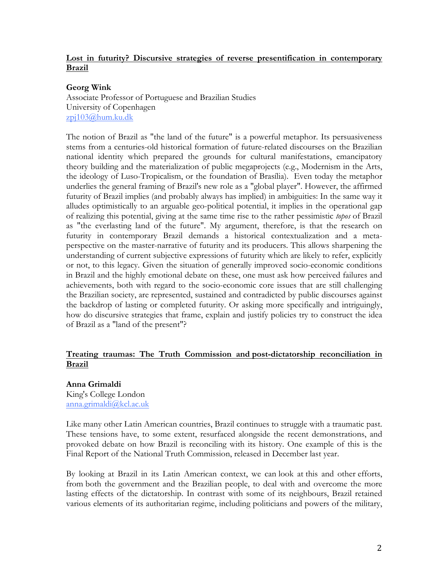# **Lost in futurity? Discursive strategies of reverse presentification in contemporary Brazil**

# **Georg Wink**

Associate Professor of Portuguese and Brazilian Studies University of Copenhagen zpj103@hum.ku.dk

The notion of Brazil as "the land of the future" is a powerful metaphor. Its persuasiveness stems from a centuries-old historical formation of future-related discourses on the Brazilian national identity which prepared the grounds for cultural manifestations, emancipatory theory building and the materialization of public megaprojects (e.g., Modernism in the Arts, the ideology of Luso-Tropicalism, or the foundation of Brasília). Even today the metaphor underlies the general framing of Brazil's new role as a "global player". However, the affirmed futurity of Brazil implies (and probably always has implied) in ambiguities: In the same way it alludes optimistically to an arguable geo-political potential, it implies in the operational gap of realizing this potential, giving at the same time rise to the rather pessimistic *topos* of Brazil as "the everlasting land of the future". My argument, therefore, is that the research on futurity in contemporary Brazil demands a historical contextualization and a metaperspective on the master-narrative of futurity and its producers. This allows sharpening the understanding of current subjective expressions of futurity which are likely to refer, explicitly or not, to this legacy. Given the situation of generally improved socio-economic conditions in Brazil and the highly emotional debate on these, one must ask how perceived failures and achievements, both with regard to the socio-economic core issues that are still challenging the Brazilian society, are represented, sustained and contradicted by public discourses against the backdrop of lasting or completed futurity. Or asking more specifically and intriguingly, how do discursive strategies that frame, explain and justify policies try to construct the idea of Brazil as a "land of the present"?

# **Treating traumas: The Truth Commission and post-dictatorship reconciliation in Brazil**

**Anna Grimaldi** King's College London anna.grimaldi@kcl.ac.uk

Like many other Latin American countries, Brazil continues to struggle with a traumatic past. These tensions have, to some extent, resurfaced alongside the recent demonstrations, and provoked debate on how Brazil is reconciling with its history. One example of this is the Final Report of the National Truth Commission, released in December last year.

By looking at Brazil in its Latin American context, we can look at this and other efforts, from both the government and the Brazilian people, to deal with and overcome the more lasting effects of the dictatorship. In contrast with some of its neighbours, Brazil retained various elements of its authoritarian regime, including politicians and powers of the military,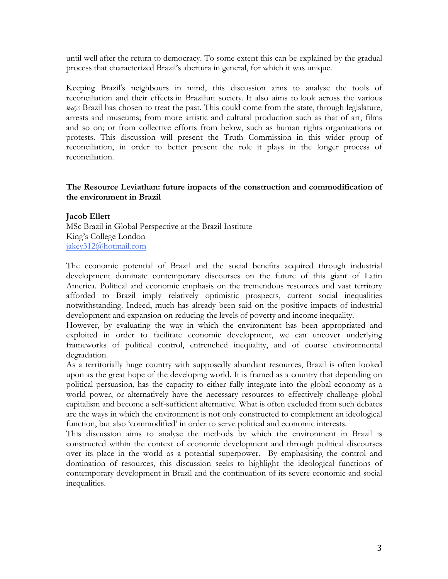until well after the return to democracy. To some extent this can be explained by the gradual process that characterized Brazil's abertura in general, for which it was unique.

Keeping Brazil's neighbours in mind, this discussion aims to analyse the tools of reconciliation and their effects in Brazilian society. It also aims to look across the various *ways* Brazil has chosen to treat the past. This could come from the state, through legislature, arrests and museums; from more artistic and cultural production such as that of art, films and so on; or from collective efforts from below, such as human rights organizations or protests. This discussion will present the Truth Commission in this wider group of reconciliation, in order to better present the role it plays in the longer process of reconciliation.

# **The Resource Leviathan: future impacts of the construction and commodification of the environment in Brazil**

#### **Jacob Ellett**

MSc Brazil in Global Perspective at the Brazil Institute King's College London jakey312@hotmail.com

The economic potential of Brazil and the social benefits acquired through industrial development dominate contemporary discourses on the future of this giant of Latin America. Political and economic emphasis on the tremendous resources and vast territory afforded to Brazil imply relatively optimistic prospects, current social inequalities notwithstanding. Indeed, much has already been said on the positive impacts of industrial development and expansion on reducing the levels of poverty and income inequality.

However, by evaluating the way in which the environment has been appropriated and exploited in order to facilitate economic development, we can uncover underlying frameworks of political control, entrenched inequality, and of course environmental degradation.

As a territorially huge country with supposedly abundant resources, Brazil is often looked upon as the great hope of the developing world. It is framed as a country that depending on political persuasion, has the capacity to either fully integrate into the global economy as a world power, or alternatively have the necessary resources to effectively challenge global capitalism and become a self-sufficient alternative. What is often excluded from such debates are the ways in which the environment is not only constructed to complement an ideological function, but also 'commodified' in order to serve political and economic interests.

This discussion aims to analyse the methods by which the environment in Brazil is constructed within the context of economic development and through political discourses over its place in the world as a potential superpower. By emphasising the control and domination of resources, this discussion seeks to highlight the ideological functions of contemporary development in Brazil and the continuation of its severe economic and social inequalities.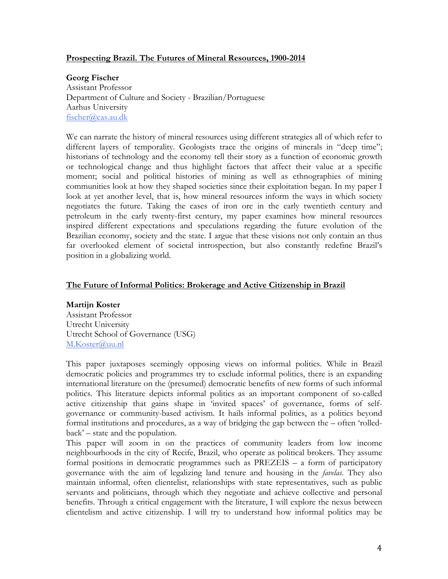# **Prospecting Brazil. The Futures of Mineral Resources, 1900-2014**

**Georg Fischer** Assistant Professor Department of Culture and Society - Brazilian/Portuguese Aarhus University fischer@cas.au.dk

We can narrate the history of mineral resources using different strategies all of which refer to different layers of temporality. Geologists trace the origins of minerals in "deep time"; historians of technology and the economy tell their story as a function of economic growth or technological change and thus highlight factors that affect their value at a specific moment; social and political histories of mining as well as ethnographies of mining communities look at how they shaped societies since their exploitation began. In my paper I look at yet another level, that is, how mineral resources inform the ways in which society negotiates the future. Taking the cases of iron ore in the early twentieth century and petroleum in the early twenty-first century, my paper examines how mineral resources inspired different expectations and speculations regarding the future evolution of the Brazilian economy, society and the state. I argue that these visions not only contain an thus far overlooked element of societal introspection, but also constantly redefine Brazil's position in a globalizing world.

# **The Future of Informal Politics: Brokerage and Active Citizenship in Brazil**

#### **Martijn Koster**

Assistant Professor Utrecht University Utrecht School of Governance (USG) M.Koster@uu.nl

This paper juxtaposes seemingly opposing views on informal politics. While in Brazil democratic policies and programmes try to exclude informal politics, there is an expanding international literature on the (presumed) democratic benefits of new forms of such informal politics. This literature depicts informal politics as an important component of so-called active citizenship that gains shape in 'invited spaces' of governance, forms of selfgovernance or community-based activism. It hails informal politics, as a politics beyond formal institutions and procedures, as a way of bridging the gap between the – often 'rolledback' – state and the population.

This paper will zoom in on the practices of community leaders from low income neighbourhoods in the city of Recife, Brazil, who operate as political brokers. They assume formal positions in democratic programmes such as PREZEIS – a form of participatory governance with the aim of legalizing land tenure and housing in the *favelas*. They also maintain informal, often clientelist, relationships with state representatives, such as public servants and politicians, through which they negotiate and achieve collective and personal benefits. Through a critical engagement with the literature, I will explore the nexus between clientelism and active citizenship. I will try to understand how informal politics may be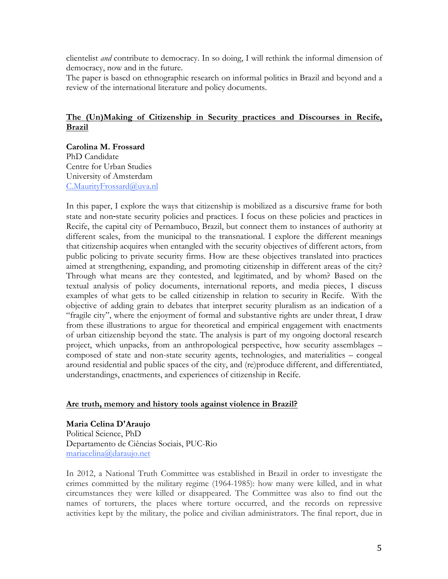clientelist *and* contribute to democracy. In so doing, I will rethink the informal dimension of democracy, now and in the future.

The paper is based on ethnographic research on informal politics in Brazil and beyond and a review of the international literature and policy documents.

# **The (Un)Making of Citizenship in Security practices and Discourses in Recife, Brazil**

**Carolina M. Frossard** PhD Candidate Centre for Urban Studies University of Amsterdam C.MaurityFrossard@uva.nl

In this paper, I explore the ways that citizenship is mobilized as a discursive frame for both state and non-state security policies and practices. I focus on these policies and practices in Recife, the capital city of Pernambuco, Brazil, but connect them to instances of authority at different scales, from the municipal to the transnational. I explore the different meanings that citizenship acquires when entangled with the security objectives of different actors, from public policing to private security firms. How are these objectives translated into practices aimed at strengthening, expanding, and promoting citizenship in different areas of the city? Through what means are they contested, and legitimated, and by whom? Based on the textual analysis of policy documents, international reports, and media pieces, I discuss examples of what gets to be called citizenship in relation to security in Recife. With the objective of adding grain to debates that interpret security pluralism as an indication of a "fragile city", where the enjoyment of formal and substantive rights are under threat, I draw from these illustrations to argue for theoretical and empirical engagement with enactments of urban citizenship beyond the state. The analysis is part of my ongoing doctoral research project, which unpacks, from an anthropological perspective, how security assemblages – composed of state and non-state security agents, technologies, and materialities – congeal around residential and public spaces of the city, and (re)produce different, and differentiated, understandings, enactments, and experiences of citizenship in Recife.

#### **Are truth, memory and history tools against violence in Brazil?**

**Maria Celina D'Araujo** Political Science, PhD Departamento de Ciências Sociais, PUC-Rio mariacelina@daraujo.net

In 2012, a National Truth Committee was established in Brazil in order to investigate the crimes committed by the military regime (1964-1985): how many were killed, and in what circumstances they were killed or disappeared. The Committee was also to find out the names of torturers, the places where torture occurred, and the records on repressive activities kept by the military, the police and civilian administrators. The final report, due in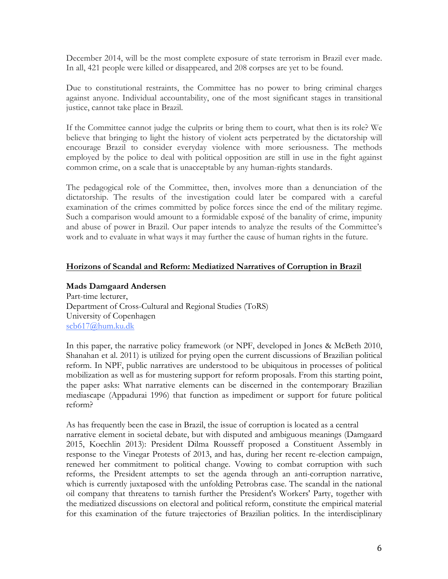December 2014, will be the most complete exposure of state terrorism in Brazil ever made. In all, 421 people were killed or disappeared, and 208 corpses are yet to be found.

Due to constitutional restraints, the Committee has no power to bring criminal charges against anyone. Individual accountability, one of the most significant stages in transitional justice, cannot take place in Brazil.

If the Committee cannot judge the culprits or bring them to court, what then is its role? We believe that bringing to light the history of violent acts perpetrated by the dictatorship will encourage Brazil to consider everyday violence with more seriousness. The methods employed by the police to deal with political opposition are still in use in the fight against common crime, on a scale that is unacceptable by any human-rights standards.

The pedagogical role of the Committee, then, involves more than a denunciation of the dictatorship. The results of the investigation could later be compared with a careful examination of the crimes committed by police forces since the end of the military regime. Such a comparison would amount to a formidable exposé of the banality of crime, impunity and abuse of power in Brazil. Our paper intends to analyze the results of the Committee's work and to evaluate in what ways it may further the cause of human rights in the future.

# **Horizons of Scandal and Reform: Mediatized Narratives of Corruption in Brazil**

#### **Mads Damgaard Andersen**

Part-time lecturer, Department of Cross-Cultural and Regional Studies (ToRS) University of Copenhagen scb617@hum.ku.dk

In this paper, the narrative policy framework (or NPF, developed in Jones & McBeth 2010, Shanahan et al. 2011) is utilized for prying open the current discussions of Brazilian political reform. In NPF, public narratives are understood to be ubiquitous in processes of political mobilization as well as for mustering support for reform proposals. From this starting point, the paper asks: What narrative elements can be discerned in the contemporary Brazilian mediascape (Appadurai 1996) that function as impediment or support for future political reform?

As has frequently been the case in Brazil, the issue of corruption is located as a central narrative element in societal debate, but with disputed and ambiguous meanings (Damgaard 2015, Koechlin 2013): President Dilma Rousseff proposed a Constituent Assembly in response to the Vinegar Protests of 2013, and has, during her recent re-election campaign, renewed her commitment to political change. Vowing to combat corruption with such reforms, the President attempts to set the agenda through an anti-corruption narrative, which is currently juxtaposed with the unfolding Petrobras case. The scandal in the national oil company that threatens to tarnish further the President's Workers' Party, together with the mediatized discussions on electoral and political reform, constitute the empirical material for this examination of the future trajectories of Brazilian politics. In the interdisciplinary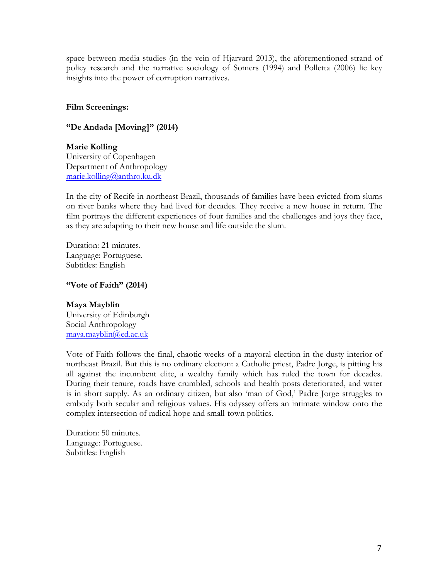space between media studies (in the vein of Hjarvard 2013), the aforementioned strand of policy research and the narrative sociology of Somers (1994) and Polletta (2006) lie key insights into the power of corruption narratives.

#### **Film Screenings:**

#### **"De Andada [Moving]" (2014)**

**Marie Kolling** University of Copenhagen Department of Anthropology marie.kolling@anthro.ku.dk

In the city of Recife in northeast Brazil, thousands of families have been evicted from slums on river banks where they had lived for decades. They receive a new house in return. The film portrays the different experiences of four families and the challenges and joys they face, as they are adapting to their new house and life outside the slum.

Duration: 21 minutes. Language: Portuguese. Subtitles: English

#### **"Vote of Faith" (2014)**

**Maya Mayblin** University of Edinburgh Social Anthropology maya.mayblin@ed.ac.uk

Vote of Faith follows the final, chaotic weeks of a mayoral election in the dusty interior of northeast Brazil. But this is no ordinary election: a Catholic priest, Padre Jorge, is pitting his all against the incumbent elite, a wealthy family which has ruled the town for decades. During their tenure, roads have crumbled, schools and health posts deteriorated, and water is in short supply. As an ordinary citizen, but also 'man of God,' Padre Jorge struggles to embody both secular and religious values. His odyssey offers an intimate window onto the complex intersection of radical hope and small-town politics.

Duration: 50 minutes. Language: Portuguese. Subtitles: English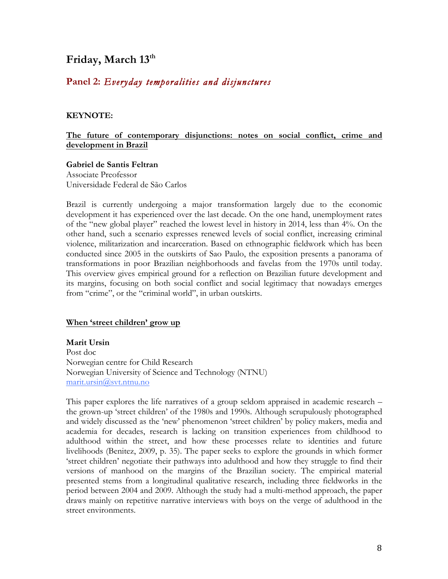# Friday, March 13<sup>th</sup>

# **Panel 2:** *Everyday temporalities and disjunctures*

#### **KEYNOTE:**

### **The future of contemporary disjunctions: notes on social conflict, crime and development in Brazil**

#### **Gabriel de Santis Feltran**

Associate Preofessor Universidade Federal de São Carlos

Brazil is currently undergoing a major transformation largely due to the economic development it has experienced over the last decade. On the one hand, unemployment rates of the "new global player" reached the lowest level in history in 2014, less than 4%. On the other hand, such a scenario expresses renewed levels of social conflict, increasing criminal violence, militarization and incarceration. Based on ethnographic fieldwork which has been conducted since 2005 in the outskirts of Sao Paulo, the exposition presents a panorama of transformations in poor Brazilian neighborhoods and favelas from the 1970s until today. This overview gives empirical ground for a reflection on Brazilian future development and its margins, focusing on both social conflict and social legitimacy that nowadays emerges from "crime", or the "criminal world", in urban outskirts.

#### **When 'street children' grow up**

**Marit Ursin** Post doc Norwegian centre for Child Research Norwegian University of Science and Technology (NTNU) marit.ursin@svt.ntnu.no

This paper explores the life narratives of a group seldom appraised in academic research – the grown-up 'street children' of the 1980s and 1990s. Although scrupulously photographed and widely discussed as the 'new' phenomenon 'street children' by policy makers, media and academia for decades, research is lacking on transition experiences from childhood to adulthood within the street, and how these processes relate to identities and future livelihoods (Benitez, 2009, p. 35). The paper seeks to explore the grounds in which former 'street children' negotiate their pathways into adulthood and how they struggle to find their versions of manhood on the margins of the Brazilian society. The empirical material presented stems from a longitudinal qualitative research, including three fieldworks in the period between 2004 and 2009. Although the study had a multi-method approach, the paper draws mainly on repetitive narrative interviews with boys on the verge of adulthood in the street environments.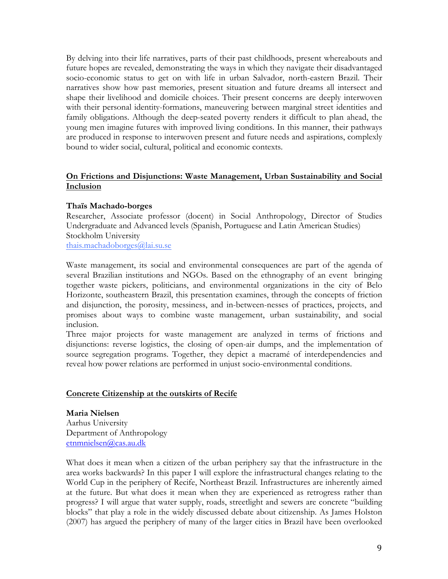By delving into their life narratives, parts of their past childhoods, present whereabouts and future hopes are revealed, demonstrating the ways in which they navigate their disadvantaged socio-economic status to get on with life in urban Salvador, north-eastern Brazil. Their narratives show how past memories, present situation and future dreams all intersect and shape their livelihood and domicile choices. Their present concerns are deeply interwoven with their personal identity-formations, maneuvering between marginal street identities and family obligations. Although the deep-seated poverty renders it difficult to plan ahead, the young men imagine futures with improved living conditions. In this manner, their pathways are produced in response to interwoven present and future needs and aspirations, complexly bound to wider social, cultural, political and economic contexts.

# **On Frictions and Disjunctions: Waste Management, Urban Sustainability and Social Inclusion**

#### **Thaïs Machado-borges**

Researcher, Associate professor (docent) in Social Anthropology, Director of Studies Undergraduate and Advanced levels (Spanish, Portuguese and Latin American Studies) Stockholm University thais.machadoborges@lai.su.se

Waste management, its social and environmental consequences are part of the agenda of several Brazilian institutions and NGOs. Based on the ethnography of an event bringing together waste pickers, politicians, and environmental organizations in the city of Belo Horizonte, southeastern Brazil, this presentation examines, through the concepts of friction and disjunction, the porosity, messiness, and in-between-nesses of practices, projects, and promises about ways to combine waste management, urban sustainability, and social inclusion.

Three major projects for waste management are analyzed in terms of frictions and disjunctions: reverse logistics, the closing of open-air dumps, and the implementation of source segregation programs. Together, they depict a macramé of interdependencies and reveal how power relations are performed in unjust socio-environmental conditions.

#### **Concrete Citizenship at the outskirts of Recife**

**Maria Nielsen** Aarhus University Department of Anthropology etnmnielsen@cas.au.dk

What does it mean when a citizen of the urban periphery say that the infrastructure in the area works backwards? In this paper I will explore the infrastructural changes relating to the World Cup in the periphery of Recife, Northeast Brazil. Infrastructures are inherently aimed at the future. But what does it mean when they are experienced as retrogress rather than progress? I will argue that water supply, roads, streetlight and sewers are concrete "building blocks" that play a role in the widely discussed debate about citizenship. As James Holston (2007) has argued the periphery of many of the larger cities in Brazil have been overlooked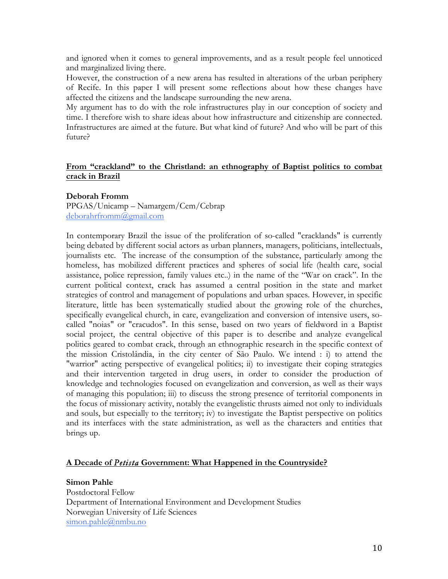and ignored when it comes to general improvements, and as a result people feel unnoticed and marginalized living there.

However, the construction of a new arena has resulted in alterations of the urban periphery of Recife. In this paper I will present some reflections about how these changes have affected the citizens and the landscape surrounding the new arena.

My argument has to do with the role infrastructures play in our conception of society and time. I therefore wish to share ideas about how infrastructure and citizenship are connected. Infrastructures are aimed at the future. But what kind of future? And who will be part of this future?

# **From "crackland" to the Christland: an ethnography of Baptist politics to combat crack in Brazil**

#### **Deborah Fromm**

PPGAS/Unicamp – Namargem/Cem/Cebrap deborahrfromm@gmail.com

In contemporary Brazil the issue of the proliferation of so-called "cracklands" is currently being debated by different social actors as urban planners, managers, politicians, intellectuals, journalists etc. The increase of the consumption of the substance, particularly among the homeless, has mobilized different practices and spheres of social life (health care, social assistance, police repression, family values etc..) in the name of the "War on crack". In the current political context, crack has assumed a central position in the state and market strategies of control and management of populations and urban spaces. However, in specific literature, little has been systematically studied about the growing role of the churches, specifically evangelical church, in care, evangelization and conversion of intensive users, socalled "noias" or "cracudos". In this sense, based on two years of fieldword in a Baptist social project, the central objective of this paper is to describe and analyze evangelical politics geared to combat crack, through an ethnographic research in the specific context of the mission Cristolândia, in the city center of São Paulo. We intend : i) to attend the "warrior" acting perspective of evangelical politics; ii) to investigate their coping strategies and their intervention targeted in drug users, in order to consider the production of knowledge and technologies focused on evangelization and conversion, as well as their ways of managing this population; iii) to discuss the strong presence of territorial components in the focus of missionary activity, notably the evangelistic thrusts aimed not only to individuals and souls, but especially to the territory; iv) to investigate the Baptist perspective on politics and its interfaces with the state administration, as well as the characters and entities that brings up.

# **A Decade of** *Petista* **Government: What Happened in the Countryside?**

**Simon Pahle**

Postdoctoral Fellow Department of International Environment and Development Studies Norwegian University of Life Sciences simon.pahle@nmbu.no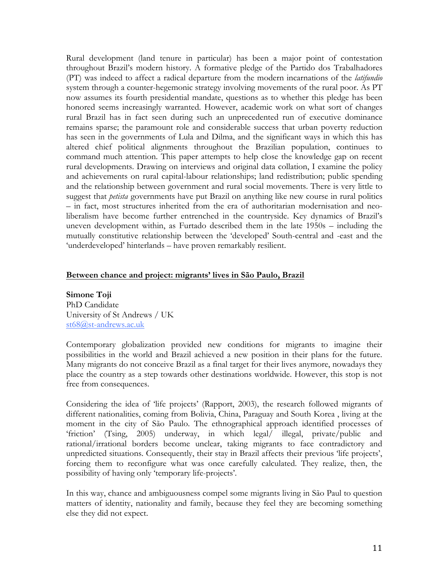Rural development (land tenure in particular) has been a major point of contestation throughout Brazil's modern history. A formative pledge of the Partido dos Trabalhadores (PT) was indeed to affect a radical departure from the modern incarnations of the *latifundio* system through a counter-hegemonic strategy involving movements of the rural poor. As PT now assumes its fourth presidential mandate, questions as to whether this pledge has been honored seems increasingly warranted. However, academic work on what sort of changes rural Brazil has in fact seen during such an unprecedented run of executive dominance remains sparse; the paramount role and considerable success that urban poverty reduction has seen in the governments of Lula and Dilma, and the significant ways in which this has altered chief political alignments throughout the Brazilian population, continues to command much attention. This paper attempts to help close the knowledge gap on recent rural developments. Drawing on interviews and original data collation, I examine the policy and achievements on rural capital-labour relationships; land redistribution; public spending and the relationship between government and rural social movements. There is very little to suggest that *petista* governments have put Brazil on anything like new course in rural politics – in fact, most structures inherited from the era of authoritarian modernisation and neoliberalism have become further entrenched in the countryside. Key dynamics of Brazil's uneven development within, as Furtado described them in the late 1950s – including the mutually constitutive relationship between the 'developed' South-central and -east and the 'underdeveloped' hinterlands – have proven remarkably resilient.

#### **Between chance and project: migrants' lives in São Paulo, Brazil**

**Simone Toji** PhD Candidate University of St Andrews / UK st68@st-andrews.ac.uk

Contemporary globalization provided new conditions for migrants to imagine their possibilities in the world and Brazil achieved a new position in their plans for the future. Many migrants do not conceive Brazil as a final target for their lives anymore, nowadays they place the country as a step towards other destinations worldwide. However, this stop is not free from consequences.

Considering the idea of 'life projects' (Rapport, 2003), the research followed migrants of different nationalities, coming from Bolivia, China, Paraguay and South Korea , living at the moment in the city of São Paulo. The ethnographical approach identified processes of 'friction' (Tsing, 2005) underway, in which legal/ illegal, private/public and rational/irrational borders become unclear, taking migrants to face contradictory and unpredicted situations. Consequently, their stay in Brazil affects their previous 'life projects', forcing them to reconfigure what was once carefully calculated. They realize, then, the possibility of having only 'temporary life-projects'.

In this way, chance and ambiguousness compel some migrants living in São Paul to question matters of identity, nationality and family, because they feel they are becoming something else they did not expect.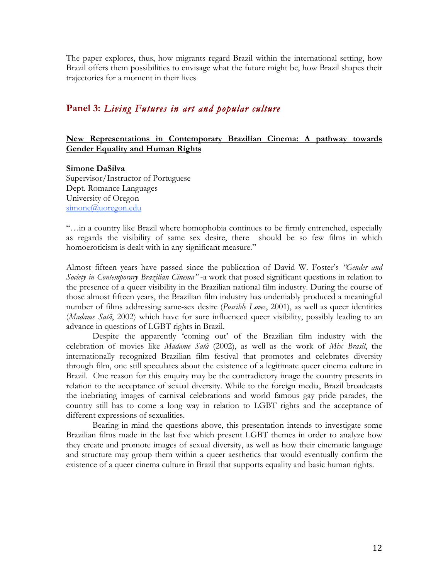The paper explores, thus, how migrants regard Brazil within the international setting, how Brazil offers them possibilities to envisage what the future might be, how Brazil shapes their trajectories for a moment in their lives

# **Panel 3:** *Living Futures in art and popular culture*

#### **New Representations in Contemporary Brazilian Cinema: A pathway towards Gender Equality and Human Rights**

#### **Simone DaSilva**

Supervisor/Instructor of Portuguese Dept. Romance Languages University of Oregon simone@uoregon.edu

"…in a country like Brazil where homophobia continues to be firmly entrenched, especially as regards the visibility of same sex desire, there should be so few films in which homoeroticism is dealt with in any significant measure."

Almost fifteen years have passed since the publication of David W. Foster's *"Gender and Society in Contemporary Brazilian Cinema"* -a work that posed significant questions in relation to the presence of a queer visibility in the Brazilian national film industry. During the course of those almost fifteen years, the Brazilian film industry has undeniably produced a meaningful number of films addressing same-sex desire (*Possible Loves*, 2001), as well as queer identities (*Madame Satã*, 2002) which have for sure influenced queer visibility, possibly leading to an advance in questions of LGBT rights in Brazil.

Despite the apparently 'coming out' of the Brazilian film industry with the celebration of movies like *Madame Satã* (2002), as well as the work of *Mix Brasil*, the internationally recognized Brazilian film festival that promotes and celebrates diversity through film, one still speculates about the existence of a legitimate queer cinema culture in Brazil. One reason for this enquiry may be the contradictory image the country presents in relation to the acceptance of sexual diversity. While to the foreign media, Brazil broadcasts the inebriating images of carnival celebrations and world famous gay pride parades, the country still has to come a long way in relation to LGBT rights and the acceptance of different expressions of sexualities.

Bearing in mind the questions above, this presentation intends to investigate some Brazilian films made in the last five which present LGBT themes in order to analyze how they create and promote images of sexual diversity, as well as how their cinematic language and structure may group them within a queer aesthetics that would eventually confirm the existence of a queer cinema culture in Brazil that supports equality and basic human rights.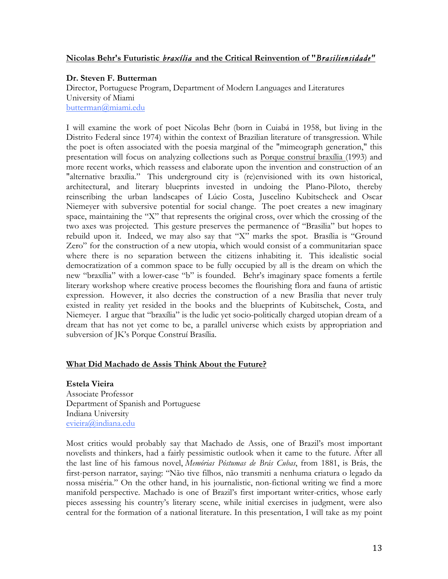# **Nicolas Behr's Futuristic** *braxília* **and the Critical Reinvention of "***Brasiliensidade"*

# **Dr. Steven F. Butterman**

Director, Portuguese Program, Department of Modern Languages and Literatures University of Miami butterman@miami.edu

I will examine the work of poet Nicolas Behr (born in Cuiabá in 1958, but living in the Distrito Federal since 1974) within the context of Brazilian literature of transgression. While the poet is often associated with the poesia marginal of the "mimeograph generation," this presentation will focus on analyzing collections such as Porque construí braxília (1993) and more recent works, which reassess and elaborate upon the invention and construction of an "alternative braxília." This underground city is (re)envisioned with its own historical, architectural, and literary blueprints invested in undoing the Plano-Piloto, thereby reinscribing the urban landscapes of Lúcio Costa, Juscelino Kubitscheck and Oscar Niemeyer with subversive potential for social change. The poet creates a new imaginary space, maintaining the "X" that represents the original cross, over which the crossing of the two axes was projected. This gesture preserves the permanence of "Brasilia" but hopes to rebuild upon it. Indeed, we may also say that "X" marks the spot. Brasília is "Ground Zero" for the construction of a new utopia, which would consist of a communitarian space where there is no separation between the citizens inhabiting it. This idealistic social democratization of a common space to be fully occupied by all is the dream on which the new "braxília" with a lower-case "b" is founded. Behr's imaginary space foments a fertile literary workshop where creative process becomes the flourishing flora and fauna of artistic expression. However, it also decries the construction of a new Brasília that never truly existed in reality yet resided in the books and the blueprints of Kubitschek, Costa, and Niemeyer. I argue that "braxília" is the ludic yet socio-politically charged utopian dream of a dream that has not yet come to be, a parallel universe which exists by appropriation and subversion of JK's Porque Construí Brasília.

# **What Did Machado de Assis Think About the Future?**

**Estela Vieira** Associate Professor Department of Spanish and Portuguese Indiana University evieira@indiana.edu

Most critics would probably say that Machado de Assis, one of Brazil's most important novelists and thinkers, had a fairly pessimistic outlook when it came to the future. After all the last line of his famous novel, *Memórias Póstumas de Brás Cubas*, from 1881, is Brás, the first-person narrator, saying: "Não tive filhos, não transmiti a nenhuma criatura o legado da nossa miséria." On the other hand, in his journalistic, non-fictional writing we find a more manifold perspective. Machado is one of Brazil's first important writer-critics, whose early pieces assessing his country's literary scene, while initial exercises in judgment, were also central for the formation of a national literature. In this presentation, I will take as my point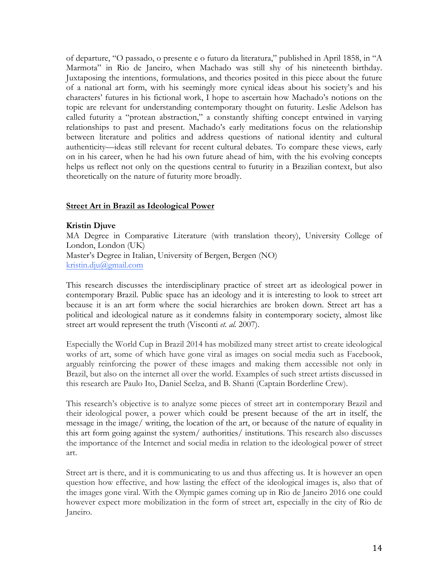of departure, "O passado, o presente e o futuro da literatura," published in April 1858, in "A Marmota" in Rio de Janeiro, when Machado was still shy of his nineteenth birthday. Juxtaposing the intentions, formulations, and theories posited in this piece about the future of a national art form, with his seemingly more cynical ideas about his society's and his characters' futures in his fictional work, I hope to ascertain how Machado's notions on the topic are relevant for understanding contemporary thought on futurity. Leslie Adelson has called futurity a "protean abstraction," a constantly shifting concept entwined in varying relationships to past and present. Machado's early meditations focus on the relationship between literature and politics and address questions of national identity and cultural authenticity—ideas still relevant for recent cultural debates. To compare these views, early on in his career, when he had his own future ahead of him, with the his evolving concepts helps us reflect not only on the questions central to futurity in a Brazilian context, but also theoretically on the nature of futurity more broadly.

#### **Street Art in Brazil as Ideological Power**

#### **Kristin Djuve**

MA Degree in Comparative Literature (with translation theory), University College of London, London (UK) Master's Degree in Italian, University of Bergen, Bergen (NO) kristin.dju@gmail.com

This research discusses the interdisciplinary practice of street art as ideological power in contemporary Brazil. Public space has an ideology and it is interesting to look to street art because it is an art form where the social hierarchies are broken down. Street art has a political and ideological nature as it condemns falsity in contemporary society, almost like street art would represent the truth (Visconti *et. al.* 2007).

Especially the World Cup in Brazil 2014 has mobilized many street artist to create ideological works of art, some of which have gone viral as images on social media such as Facebook, arguably reinforcing the power of these images and making them accessible not only in Brazil, but also on the internet all over the world. Examples of such street artists discussed in this research are Paulo Ito, Daniel Scelza, and B. Shanti (Captain Borderline Crew).

This research's objective is to analyze some pieces of street art in contemporary Brazil and their ideological power, a power which could be present because of the art in itself, the message in the image/ writing, the location of the art, or because of the nature of equality in this art form going against the system/ authorities/ institutions. This research also discusses the importance of the Internet and social media in relation to the ideological power of street art.

Street art is there, and it is communicating to us and thus affecting us. It is however an open question how effective, and how lasting the effect of the ideological images is, also that of the images gone viral. With the Olympic games coming up in Rio de Janeiro 2016 one could however expect more mobilization in the form of street art, especially in the city of Rio de Janeiro.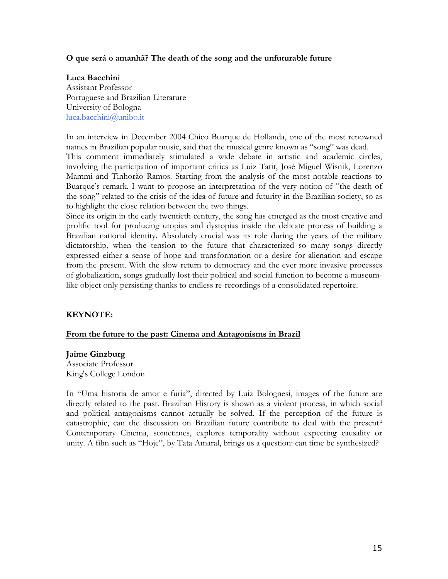# **O que será o amanhã? The death of the song and the unfuturable future**

#### **Luca Bacchini**

Assistant Professor Portuguese and Brazilian Literature University of Bologna luca.bacchini@unibo.it

In an interview in December 2004 Chico Buarque de Hollanda, one of the most renowned names in Brazilian popular music, said that the musical genre known as "song" was dead. This comment immediately stimulated a wide debate in artistic and academic circles, involving the participation of important critics as Luiz Tatit, José Miguel Wisnik, Lorenzo Mammì and Tinhorão Ramos. Starting from the analysis of the most notable reactions to Buarque's remark, I want to propose an interpretation of the very notion of "the death of the song" related to the crisis of the idea of future and futurity in the Brazilian society, so as to highlight the close relation between the two things.

Since its origin in the early twentieth century, the song has emerged as the most creative and prolific tool for producing utopias and dystopias inside the delicate process of building a Brazilian national identity. Absolutely crucial was its role during the years of the military dictatorship, when the tension to the future that characterized so many songs directly expressed either a sense of hope and transformation or a desire for alienation and escape from the present. With the slow return to democracy and the ever more invasive processes of globalization, songs gradually lost their political and social function to become a museumlike object only persisting thanks to endless re-recordings of a consolidated repertoire.

# **KEYNOTE:**

#### **From the future to the past: Cinema and Antagonisms in Brazil**

#### **Jaime Ginzburg**

Associate Professor King's College London

In "Uma historia de amor e furia", directed by Luiz Bolognesi, images of the future are directly related to the past. Brazilian History is shown as a violent process, in which social and political antagonisms cannot actually be solved. If the perception of the future is catastrophic, can the discussion on Brazilian future contribute to deal with the present? Contemporary Cinema, sometimes, explores temporality without expecting causality or unity. A film such as "Hoje", by Tata Amaral, brings us a question: can time be synthesized?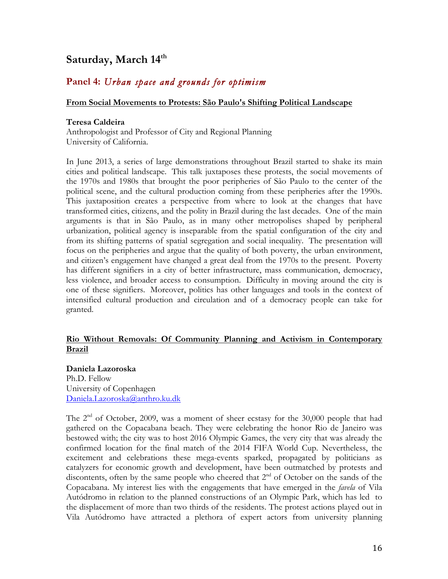# Saturday, March  $14^{\text{th}}$

# **Panel 4:** *Urban space and grounds for optimism*

# **From Social Movements to Protests: São Paulo's Shifting Political Landscape**

# **Teresa Caldeira**

Anthropologist and Professor of City and Regional Planning University of California.

In June 2013, a series of large demonstrations throughout Brazil started to shake its main cities and political landscape. This talk juxtaposes these protests, the social movements of the 1970s and 1980s that brought the poor peripheries of São Paulo to the center of the political scene, and the cultural production coming from these peripheries after the 1990s. This juxtaposition creates a perspective from where to look at the changes that have transformed cities, citizens, and the polity in Brazil during the last decades. One of the main arguments is that in São Paulo, as in many other metropolises shaped by peripheral urbanization, political agency is inseparable from the spatial configuration of the city and from its shifting patterns of spatial segregation and social inequality. The presentation will focus on the peripheries and argue that the quality of both poverty, the urban environment, and citizen's engagement have changed a great deal from the 1970s to the present. Poverty has different signifiers in a city of better infrastructure, mass communication, democracy, less violence, and broader access to consumption. Difficulty in moving around the city is one of these signifiers. Moreover, politics has other languages and tools in the context of intensified cultural production and circulation and of a democracy people can take for granted.

# **Rio Without Removals: Of Community Planning and Activism in Contemporary Brazil**

**Daniela Lazoroska** Ph.D. Fellow University of Copenhagen Daniela.Lazoroska@anthro.ku.dk

The  $2<sup>nd</sup>$  of October, 2009, was a moment of sheer ecstasy for the 30,000 people that had gathered on the Copacabana beach. They were celebrating the honor Rio de Janeiro was bestowed with; the city was to host 2016 Olympic Games, the very city that was already the confirmed location for the final match of the 2014 FIFA World Cup. Nevertheless, the excitement and celebrations these mega-events sparked, propagated by politicians as catalyzers for economic growth and development, have been outmatched by protests and discontents, often by the same people who cheered that  $2<sup>nd</sup>$  of October on the sands of the Copacabana. My interest lies with the engagements that have emerged in the *favela* of Vila Autódromo in relation to the planned constructions of an Olympic Park, which has led to the displacement of more than two thirds of the residents. The protest actions played out in Vila Autódromo have attracted a plethora of expert actors from university planning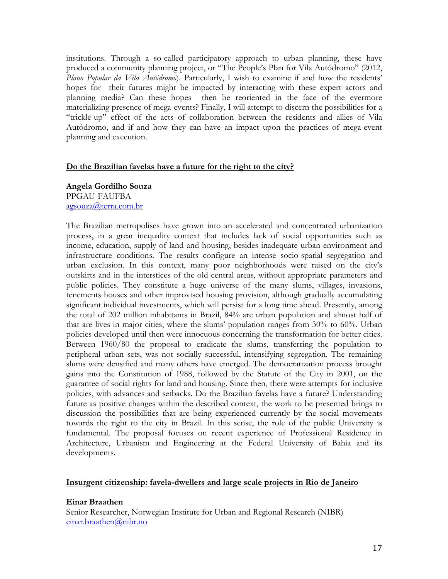institutions. Through a so-called participatory approach to urban planning, these have produced a community planning project, or "The People's Plan for Vila Autódromo" (2012, *Plano Popular da Vila Autódromo*). Particularly, I wish to examine if and how the residents' hopes for their futures might be impacted by interacting with these expert actors and planning media? Can these hopes then be reoriented in the face of the evermore materializing presence of mega-events? Finally, I will attempt to discern the possibilities for a "trickle-up" effect of the acts of collaboration between the residents and allies of Vila Autódromo, and if and how they can have an impact upon the practices of mega-event planning and execution.

# **Do the Brazilian favelas have a future for the right to the city?**

**Angela Gordilho Souza** PPGAU-FAUFBA agsouza@terra.com.br

The Brazilian metropolises have grown into an accelerated and concentrated urbanization process, in a great inequality context that includes lack of social opportunities such as income, education, supply of land and housing, besides inadequate urban environment and infrastructure conditions. The results configure an intense socio-spatial segregation and urban exclusion. In this context, many poor neighborhoods were raised on the city's outskirts and in the interstices of the old central areas, without appropriate parameters and public policies. They constitute a huge universe of the many slums, villages, invasions, tenements houses and other improvised housing provision, although gradually accumulating significant individual investments, which will persist for a long time ahead. Presently, among the total of 202 million inhabitants in Brazil, 84% are urban population and almost half of that are lives in major cities, where the slums' population ranges from 30% to 60%. Urban policies developed until then were innocuous concerning the transformation for better cities. Between 1960/80 the proposal to eradicate the slums, transferring the population to peripheral urban sets, was not socially successful, intensifying segregation. The remaining slums were densified and many others have emerged. The democratization process brought gains into the Constitution of 1988, followed by the Statute of the City in 2001, on the guarantee of social rights for land and housing. Since then, there were attempts for inclusive policies, with advances and setbacks. Do the Brazilian favelas have a future? Understanding future as positive changes within the described context, the work to be presented brings to discussion the possibilities that are being experienced currently by the social movements towards the right to the city in Brazil. In this sense, the role of the public University is fundamental. The proposal focuses on recent experience of Professional Residence in Architecture, Urbanism and Engineering at the Federal University of Bahia and its developments.

# **Insurgent citizenship: favela-dwellers and large scale projects in Rio de Janeiro**

# **Einar Braathen**

Senior Researcher, Norwegian Institute for Urban and Regional Research (NIBR) einar.braathen@nibr.no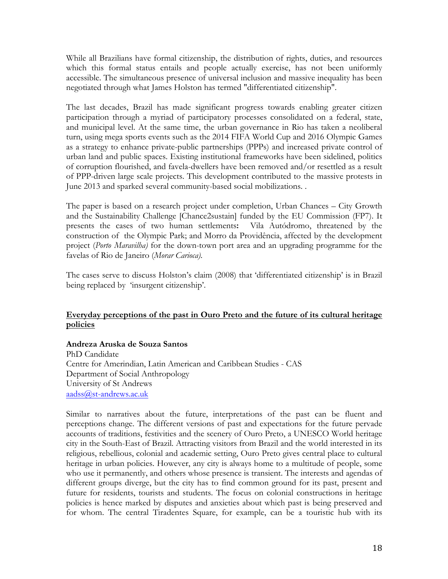While all Brazilians have formal citizenship, the distribution of rights, duties, and resources which this formal status entails and people actually exercise, has not been uniformly accessible. The simultaneous presence of universal inclusion and massive inequality has been negotiated through what James Holston has termed "differentiated citizenship".

The last decades, Brazil has made significant progress towards enabling greater citizen participation through a myriad of participatory processes consolidated on a federal, state, and municipal level. At the same time, the urban governance in Rio has taken a neoliberal turn, using mega sports events such as the 2014 FIFA World Cup and 2016 Olympic Games as a strategy to enhance private-public partnerships (PPPs) and increased private control of urban land and public spaces. Existing institutional frameworks have been sidelined, politics of corruption flourished, and favela-dwellers have been removed and/or resettled as a result of PPP-driven large scale projects. This development contributed to the massive protests in June 2013 and sparked several community-based social mobilizations. .

The paper is based on a research project under completion, Urban Chances – City Growth and the Sustainability Challenge [Chance2sustain] funded by the EU Commission (FP7). It presents the cases of two human settlements**:** Vila Autódromo, threatened by the construction of the Olympic Park; and Morro da Providência, affected by the development project (*Porto Maravilha)* for the down-town port area and an upgrading programme for the favelas of Rio de Janeiro (*Morar Carioca)*.

The cases serve to discuss Holston's claim (2008) that 'differentiated citizenship' is in Brazil being replaced by 'insurgent citizenship'.

# **Everyday perceptions of the past in Ouro Preto and the future of its cultural heritage policies**

# **Andreza Aruska de Souza Santos**

PhD Candidate Centre for Amerindian, Latin American and Caribbean Studies - CAS Department of Social Anthropology University of St Andrews aadss@st-andrews.ac.uk

Similar to narratives about the future, interpretations of the past can be fluent and perceptions change. The different versions of past and expectations for the future pervade accounts of traditions, festivities and the scenery of Ouro Preto, a UNESCO World heritage city in the South-East of Brazil. Attracting visitors from Brazil and the world interested in its religious, rebellious, colonial and academic setting, Ouro Preto gives central place to cultural heritage in urban policies. However, any city is always home to a multitude of people, some who use it permanently, and others whose presence is transient. The interests and agendas of different groups diverge, but the city has to find common ground for its past, present and future for residents, tourists and students. The focus on colonial constructions in heritage policies is hence marked by disputes and anxieties about which past is being preserved and for whom. The central Tiradentes Square, for example, can be a touristic hub with its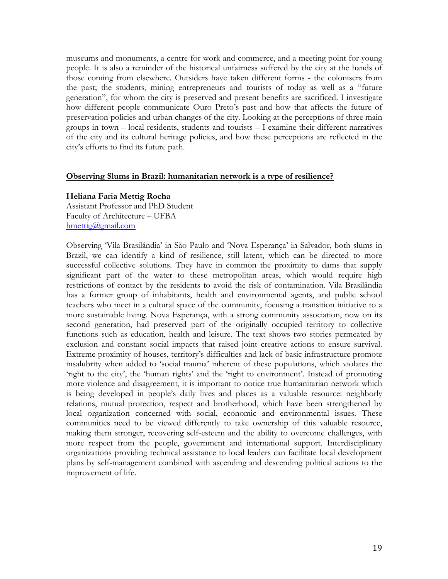museums and monuments, a centre for work and commerce, and a meeting point for young people. It is also a reminder of the historical unfairness suffered by the city at the hands of those coming from elsewhere. Outsiders have taken different forms - the colonisers from the past; the students, mining entrepreneurs and tourists of today as well as a "future generation", for whom the city is preserved and present benefits are sacrificed. I investigate how different people communicate Ouro Preto's past and how that affects the future of preservation policies and urban changes of the city. Looking at the perceptions of three main groups in town – local residents, students and tourists – I examine their different narratives of the city and its cultural heritage policies, and how these perceptions are reflected in the city's efforts to find its future path.

#### **Observing Slums in Brazil: humanitarian network is a type of resilience?**

#### **Heliana Faria Mettig Rocha**

Assistant Professor and PhD Student Faculty of Architecture – UFBA hmettig@gmail.com

Observing 'Vila Brasilândia' in São Paulo and 'Nova Esperança' in Salvador, both slums in Brazil, we can identify a kind of resilience, still latent, which can be directed to more successful collective solutions. They have in common the proximity to dams that supply significant part of the water to these metropolitan areas, which would require high restrictions of contact by the residents to avoid the risk of contamination. Vila Brasilândia has a former group of inhabitants, health and environmental agents, and public school teachers who meet in a cultural space of the community, focusing a transition initiative to a more sustainable living. Nova Esperança, with a strong community association, now on its second generation, had preserved part of the originally occupied territory to collective functions such as education, health and leisure. The text shows two stories permeated by exclusion and constant social impacts that raised joint creative actions to ensure survival. Extreme proximity of houses, territory's difficulties and lack of basic infrastructure promote insalubrity when added to 'social trauma' inherent of these populations, which violates the 'right to the city', the 'human rights' and the 'right to environment'. Instead of promoting more violence and disagreement, it is important to notice true humanitarian network which is being developed in people's daily lives and places as a valuable resource: neighborly relations, mutual protection, respect and brotherhood, which have been strengthened by local organization concerned with social, economic and environmental issues. These communities need to be viewed differently to take ownership of this valuable resource, making them stronger, recovering self-esteem and the ability to overcome challenges, with more respect from the people, government and international support. Interdisciplinary organizations providing technical assistance to local leaders can facilitate local development plans by self-management combined with ascending and descending political actions to the improvement of life.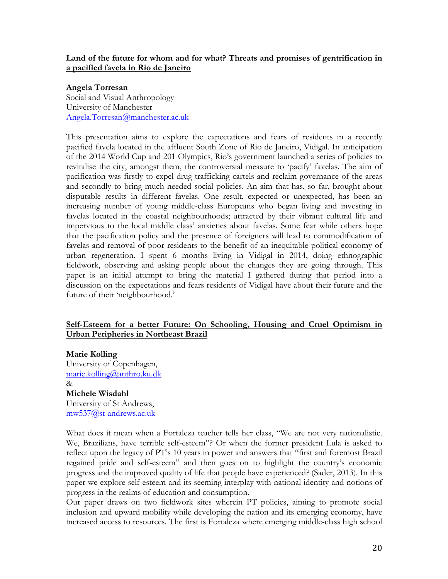# **Land of the future for whom and for what? Threats and promises of gentrification in a pacified favela in Rio de Janeiro**

#### **Angela Torresan**

Social and Visual Anthropology University of Manchester Angela.Torresan@manchester.ac.uk

This presentation aims to explore the expectations and fears of residents in a recently pacified favela located in the affluent South Zone of Rio de Janeiro, Vidigal. In anticipation of the 2014 World Cup and 201 Olympics, Rio's government launched a series of policies to revitalise the city, amongst them, the controversial measure to 'pacify' favelas. The aim of pacification was firstly to expel drug-trafficking cartels and reclaim governance of the areas and secondly to bring much needed social policies. An aim that has, so far, brought about disputable results in different favelas. One result, expected or unexpected, has been an increasing number of young middle-class Europeans who began living and investing in favelas located in the coastal neighbourhoods; attracted by their vibrant cultural life and impervious to the local middle class' anxieties about favelas. Some fear while others hope that the pacification policy and the presence of foreigners will lead to commodification of favelas and removal of poor residents to the benefit of an inequitable political economy of urban regeneration. I spent 6 months living in Vidigal in 2014, doing ethnographic fieldwork, observing and asking people about the changes they are going through. This paper is an initial attempt to bring the material I gathered during that period into a discussion on the expectations and fears residents of Vidigal have about their future and the future of their 'neighbourhood.'

# **Self-Esteem for a better Future: On Schooling, Housing and Cruel Optimism in Urban Peripheries in Northeast Brazil**

**Marie Kolling** University of Copenhagen, marie.kolling@anthro.ku.dk  $\lambda$ **Michele Wisdahl** University of St Andrews, mw537@st-andrews.ac.uk

What does it mean when a Fortaleza teacher tells her class, "We are not very nationalistic. We, Brazilians, have terrible self-esteem"? Or when the former president Lula is asked to reflect upon the legacy of PT's 10 years in power and answers that "first and foremost Brazil regained pride and self-esteem" and then goes on to highlight the country's economic progress and the improved quality of life that people have experienced? (Sader, 2013). In this paper we explore self-esteem and its seeming interplay with national identity and notions of progress in the realms of education and consumption.

Our paper draws on two fieldwork sites wherein PT policies, aiming to promote social inclusion and upward mobility while developing the nation and its emerging economy, have increased access to resources. The first is Fortaleza where emerging middle-class high school